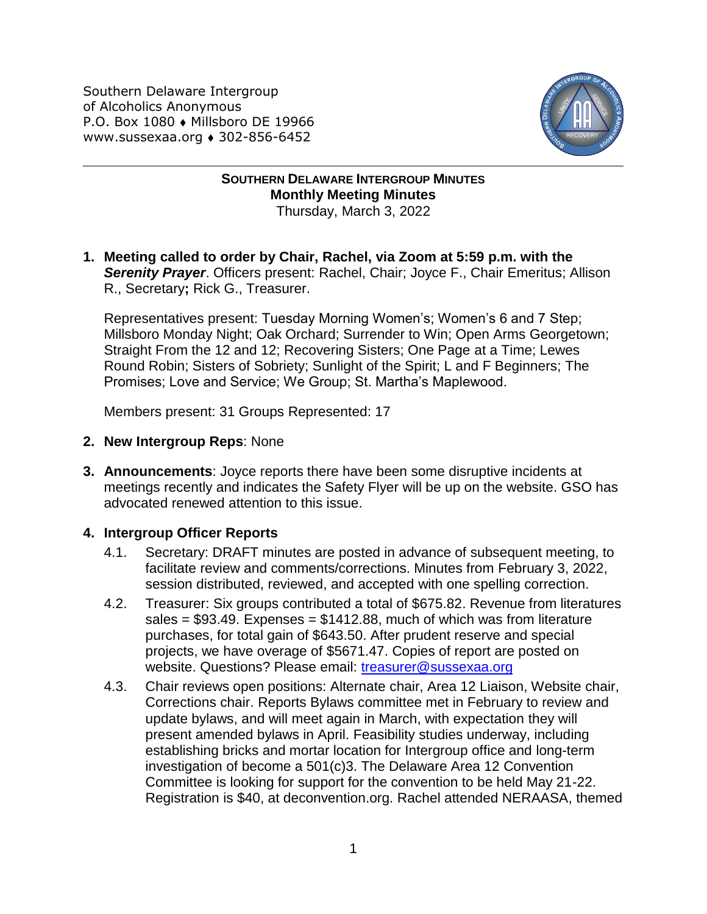Southern Delaware Intergroup of Alcoholics Anonymous P.O. Box 1080 • Millsboro DE 19966 www.sussexaa.org • 302-856-6452



## **SOUTHERN DELAWARE INTERGROUP MINUTES Monthly Meeting Minutes** Thursday, March 3, 2022

**1. Meeting called to order by Chair, Rachel, via Zoom at 5:59 p.m. with the Serenity Prayer**. Officers present: Rachel, Chair; Joyce F., Chair Emeritus; Allison R., Secretary**;** Rick G., Treasurer.

Representatives present: Tuesday Morning Women's; Women's 6 and 7 Step; Millsboro Monday Night; Oak Orchard; Surrender to Win; Open Arms Georgetown; Straight From the 12 and 12; Recovering Sisters; One Page at a Time; Lewes Round Robin; Sisters of Sobriety; Sunlight of the Spirit; L and F Beginners; The Promises; Love and Service; We Group; St. Martha's Maplewood.

Members present: 31 Groups Represented: 17

- **2. New Intergroup Reps**: None
- **3. Announcements**: Joyce reports there have been some disruptive incidents at meetings recently and indicates the Safety Flyer will be up on the website. GSO has advocated renewed attention to this issue.

## **4. Intergroup Officer Reports**

- 4.1. Secretary: DRAFT minutes are posted in advance of subsequent meeting, to facilitate review and comments/corrections. Minutes from February 3, 2022, session distributed, reviewed, and accepted with one spelling correction.
- 4.2. Treasurer: Six groups contributed a total of \$675.82. Revenue from literatures sales =  $$93.49$ . Expenses =  $$1412.88$ , much of which was from literature purchases, for total gain of \$643.50. After prudent reserve and special projects, we have overage of \$5671.47. Copies of report are posted on website. Questions? Please email: [treasurer@sussexaa.org](mailto:treasurer@sussexaa.org)
- 4.3. Chair reviews open positions: Alternate chair, Area 12 Liaison, Website chair, Corrections chair. Reports Bylaws committee met in February to review and update bylaws, and will meet again in March, with expectation they will present amended bylaws in April. Feasibility studies underway, including establishing bricks and mortar location for Intergroup office and long-term investigation of become a 501(c)3. The Delaware Area 12 Convention Committee is looking for support for the convention to be held May 21-22. Registration is \$40, at deconvention.org. Rachel attended NERAASA, themed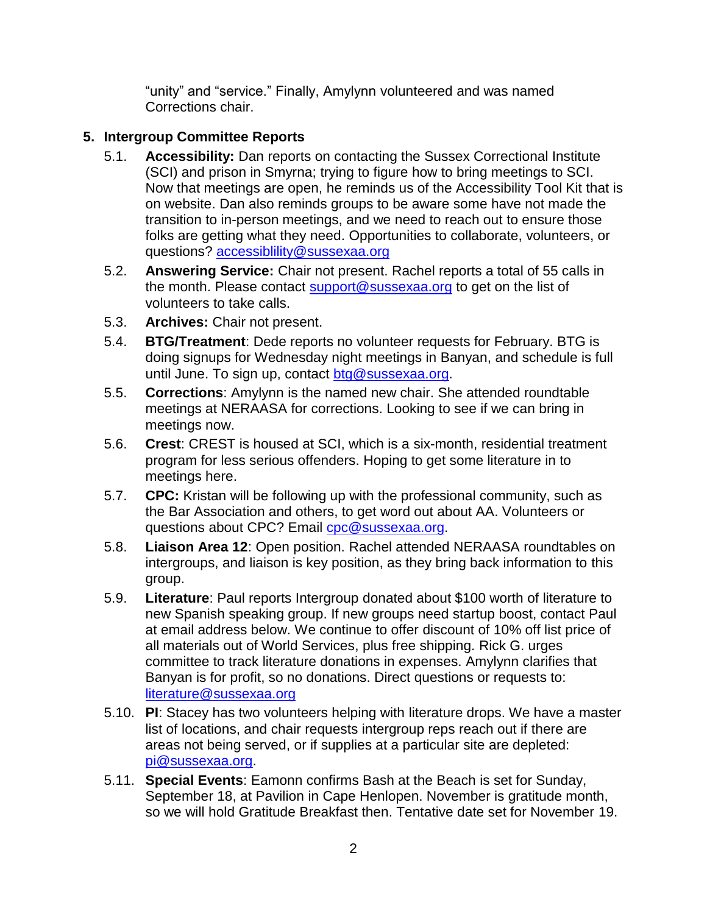"unity" and "service." Finally, Amylynn volunteered and was named Corrections chair.

## **5. Intergroup Committee Reports**

- 5.1. **Accessibility:** Dan reports on contacting the Sussex Correctional Institute (SCI) and prison in Smyrna; trying to figure how to bring meetings to SCI. Now that meetings are open, he reminds us of the Accessibility Tool Kit that is on website. Dan also reminds groups to be aware some have not made the transition to in-person meetings, and we need to reach out to ensure those folks are getting what they need. Opportunities to collaborate, volunteers, or questions? [accessiblility@sussexaa.org](mailto:accessiblility@sussexaa.org)
- 5.2. **Answering Service:** Chair not present. Rachel reports a total of 55 calls in the month. Please contact [support@sussexaa.org](mailto:sussexsupport@sussexaa.org) to get on the list of volunteers to take calls.
- 5.3. **Archives:** Chair not present.
- 5.4. **BTG/Treatment**: Dede reports no volunteer requests for February. BTG is doing signups for Wednesday night meetings in Banyan, and schedule is full until June. To sign up, contact [btg@sussexaa.org.](mailto:btg@sussexaa.org)
- 5.5. **Corrections**: Amylynn is the named new chair. She attended roundtable meetings at NERAASA for corrections. Looking to see if we can bring in meetings now.
- 5.6. **Crest**: CREST is housed at SCI, which is a six-month, residential treatment program for less serious offenders. Hoping to get some literature in to meetings here.
- 5.7. **CPC:** Kristan will be following up with the professional community, such as the Bar Association and others, to get word out about AA. Volunteers or questions about CPC? Email [cpc@sussexaa.org.](mailto:cpc@sussexaa.org)
- 5.8. **Liaison Area 12**: Open position. Rachel attended NERAASA roundtables on intergroups, and liaison is key position, as they bring back information to this group.
- 5.9. **Literature**: Paul reports Intergroup donated about \$100 worth of literature to new Spanish speaking group. If new groups need startup boost, contact Paul at email address below. We continue to offer discount of 10% off list price of all materials out of World Services, plus free shipping. Rick G. urges committee to track literature donations in expenses. Amylynn clarifies that Banyan is for profit, so no donations. Direct questions or requests to: [literature@sussexaa.org](mailto:literature@sussexaa.org)
- 5.10. **PI**: Stacey has two volunteers helping with literature drops. We have a master list of locations, and chair requests intergroup reps reach out if there are areas not being served, or if supplies at a particular site are depleted: [pi@sussexaa.org.](mailto:pi@sussexaa.org)
- 5.11. **Special Events**: Eamonn confirms Bash at the Beach is set for Sunday, September 18, at Pavilion in Cape Henlopen. November is gratitude month, so we will hold Gratitude Breakfast then. Tentative date set for November 19.